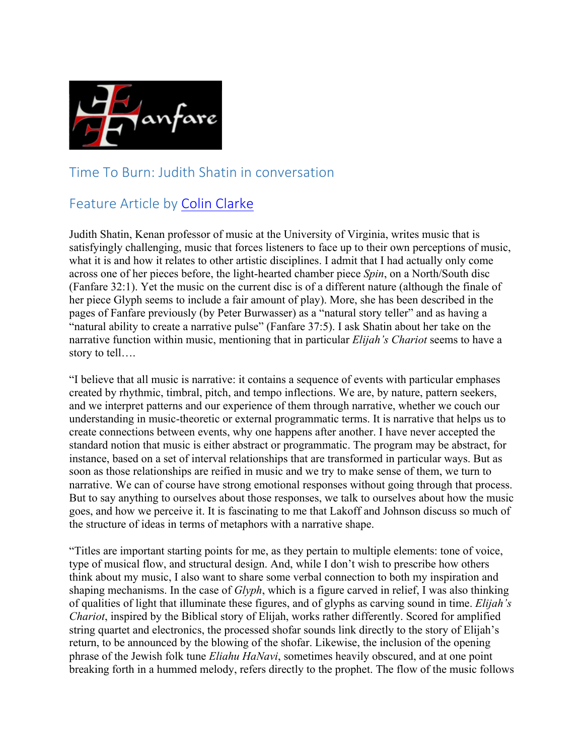

## Time To Burn: Judith Shatin in conversation

## Feature Article by Colin Clarke

Judith Shatin, Kenan professor of music at the University of Virginia, writes music that is satisfyingly challenging, music that forces listeners to face up to their own perceptions of music, what it is and how it relates to other artistic disciplines. I admit that I had actually only come across one of her pieces before, the light-hearted chamber piece *Spin*, on a North/South disc (Fanfare 32:1). Yet the music on the current disc is of a different nature (although the finale of her piece Glyph seems to include a fair amount of play). More, she has been described in the pages of Fanfare previously (by Peter Burwasser) as a "natural story teller" and as having a "natural ability to create a narrative pulse" (Fanfare 37:5). I ask Shatin about her take on the narrative function within music, mentioning that in particular *Elijah's Chariot* seems to have a story to tell….

"I believe that all music is narrative: it contains a sequence of events with particular emphases created by rhythmic, timbral, pitch, and tempo inflections. We are, by nature, pattern seekers, and we interpret patterns and our experience of them through narrative, whether we couch our understanding in music-theoretic or external programmatic terms. It is narrative that helps us to create connections between events, why one happens after another. I have never accepted the standard notion that music is either abstract or programmatic. The program may be abstract, for instance, based on a set of interval relationships that are transformed in particular ways. But as soon as those relationships are reified in music and we try to make sense of them, we turn to narrative. We can of course have strong emotional responses without going through that process. But to say anything to ourselves about those responses, we talk to ourselves about how the music goes, and how we perceive it. It is fascinating to me that Lakoff and Johnson discuss so much of the structure of ideas in terms of metaphors with a narrative shape.

"Titles are important starting points for me, as they pertain to multiple elements: tone of voice, type of musical flow, and structural design. And, while I don't wish to prescribe how others think about my music, I also want to share some verbal connection to both my inspiration and shaping mechanisms. In the case of *Glyph*, which is a figure carved in relief, I was also thinking of qualities of light that illuminate these figures, and of glyphs as carving sound in time. *Elijah's Chariot*, inspired by the Biblical story of Elijah, works rather differently. Scored for amplified string quartet and electronics, the processed shofar sounds link directly to the story of Elijah's return, to be announced by the blowing of the shofar. Likewise, the inclusion of the opening phrase of the Jewish folk tune *Eliahu HaNavi*, sometimes heavily obscured, and at one point breaking forth in a hummed melody, refers directly to the prophet. The flow of the music follows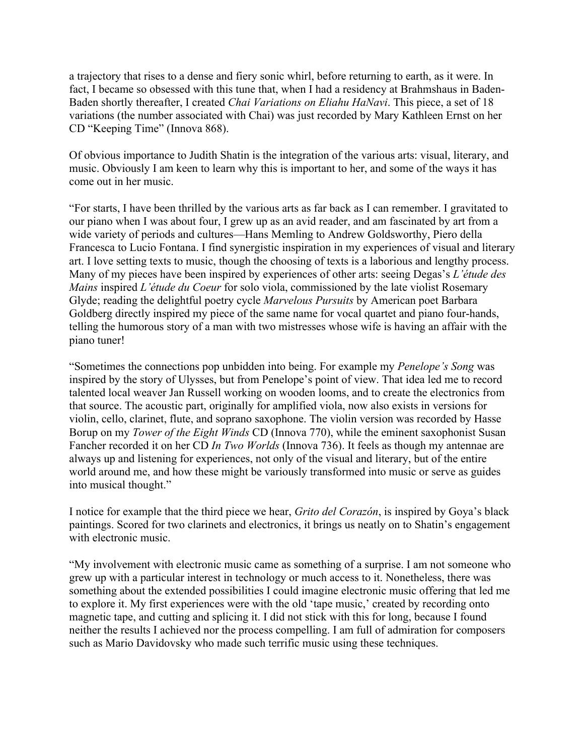a trajectory that rises to a dense and fiery sonic whirl, before returning to earth, as it were. In fact, I became so obsessed with this tune that, when I had a residency at Brahmshaus in Baden-Baden shortly thereafter, I created *Chai Variations on Eliahu HaNavi*. This piece, a set of 18 variations (the number associated with Chai) was just recorded by Mary Kathleen Ernst on her CD "Keeping Time" (Innova 868).

Of obvious importance to Judith Shatin is the integration of the various arts: visual, literary, and music. Obviously I am keen to learn why this is important to her, and some of the ways it has come out in her music.

"For starts, I have been thrilled by the various arts as far back as I can remember. I gravitated to our piano when I was about four, I grew up as an avid reader, and am fascinated by art from a wide variety of periods and cultures—Hans Memling to Andrew Goldsworthy, Piero della Francesca to Lucio Fontana. I find synergistic inspiration in my experiences of visual and literary art. I love setting texts to music, though the choosing of texts is a laborious and lengthy process. Many of my pieces have been inspired by experiences of other arts: seeing Degas's *L'étude des Mains* inspired *L'étude du Coeur* for solo viola, commissioned by the late violist Rosemary Glyde; reading the delightful poetry cycle *Marvelous Pursuits* by American poet Barbara Goldberg directly inspired my piece of the same name for vocal quartet and piano four-hands, telling the humorous story of a man with two mistresses whose wife is having an affair with the piano tuner!

"Sometimes the connections pop unbidden into being. For example my *Penelope's Song* was inspired by the story of Ulysses, but from Penelope's point of view. That idea led me to record talented local weaver Jan Russell working on wooden looms, and to create the electronics from that source. The acoustic part, originally for amplified viola, now also exists in versions for violin, cello, clarinet, flute, and soprano saxophone. The violin version was recorded by Hasse Borup on my *Tower of the Eight Winds* CD (Innova 770), while the eminent saxophonist Susan Fancher recorded it on her CD *In Two Worlds* (Innova 736). It feels as though my antennae are always up and listening for experiences, not only of the visual and literary, but of the entire world around me, and how these might be variously transformed into music or serve as guides into musical thought."

I notice for example that the third piece we hear, *Grito del Corazón*, is inspired by Goya's black paintings. Scored for two clarinets and electronics, it brings us neatly on to Shatin's engagement with electronic music.

"My involvement with electronic music came as something of a surprise. I am not someone who grew up with a particular interest in technology or much access to it. Nonetheless, there was something about the extended possibilities I could imagine electronic music offering that led me to explore it. My first experiences were with the old 'tape music,' created by recording onto magnetic tape, and cutting and splicing it. I did not stick with this for long, because I found neither the results I achieved nor the process compelling. I am full of admiration for composers such as Mario Davidovsky who made such terrific music using these techniques.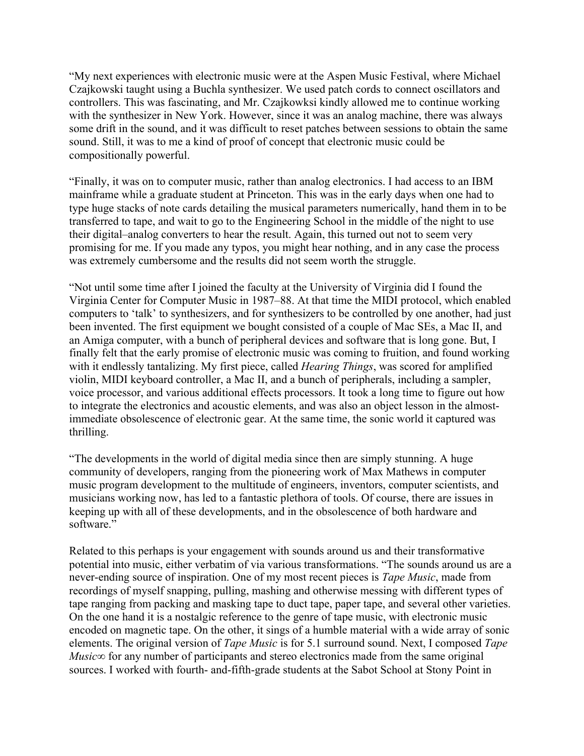"My next experiences with electronic music were at the Aspen Music Festival, where Michael Czajkowski taught using a Buchla synthesizer. We used patch cords to connect oscillators and controllers. This was fascinating, and Mr. Czajkowksi kindly allowed me to continue working with the synthesizer in New York. However, since it was an analog machine, there was always some drift in the sound, and it was difficult to reset patches between sessions to obtain the same sound. Still, it was to me a kind of proof of concept that electronic music could be compositionally powerful.

"Finally, it was on to computer music, rather than analog electronics. I had access to an IBM mainframe while a graduate student at Princeton. This was in the early days when one had to type huge stacks of note cards detailing the musical parameters numerically, hand them in to be transferred to tape, and wait to go to the Engineering School in the middle of the night to use their digital–analog converters to hear the result. Again, this turned out not to seem very promising for me. If you made any typos, you might hear nothing, and in any case the process was extremely cumbersome and the results did not seem worth the struggle.

"Not until some time after I joined the faculty at the University of Virginia did I found the Virginia Center for Computer Music in 1987–88. At that time the MIDI protocol, which enabled computers to 'talk' to synthesizers, and for synthesizers to be controlled by one another, had just been invented. The first equipment we bought consisted of a couple of Mac SEs, a Mac II, and an Amiga computer, with a bunch of peripheral devices and software that is long gone. But, I finally felt that the early promise of electronic music was coming to fruition, and found working with it endlessly tantalizing. My first piece, called *Hearing Things*, was scored for amplified violin, MIDI keyboard controller, a Mac II, and a bunch of peripherals, including a sampler, voice processor, and various additional effects processors. It took a long time to figure out how to integrate the electronics and acoustic elements, and was also an object lesson in the almostimmediate obsolescence of electronic gear. At the same time, the sonic world it captured was thrilling.

"The developments in the world of digital media since then are simply stunning. A huge community of developers, ranging from the pioneering work of Max Mathews in computer music program development to the multitude of engineers, inventors, computer scientists, and musicians working now, has led to a fantastic plethora of tools. Of course, there are issues in keeping up with all of these developments, and in the obsolescence of both hardware and software."

Related to this perhaps is your engagement with sounds around us and their transformative potential into music, either verbatim of via various transformations. "The sounds around us are a never-ending source of inspiration. One of my most recent pieces is *Tape Music*, made from recordings of myself snapping, pulling, mashing and otherwise messing with different types of tape ranging from packing and masking tape to duct tape, paper tape, and several other varieties. On the one hand it is a nostalgic reference to the genre of tape music, with electronic music encoded on magnetic tape. On the other, it sings of a humble material with a wide array of sonic elements. The original version of *Tape Music* is for 5.1 surround sound. Next, I composed *Tape Music*∞ for any number of participants and stereo electronics made from the same original sources. I worked with fourth- and-fifth-grade students at the Sabot School at Stony Point in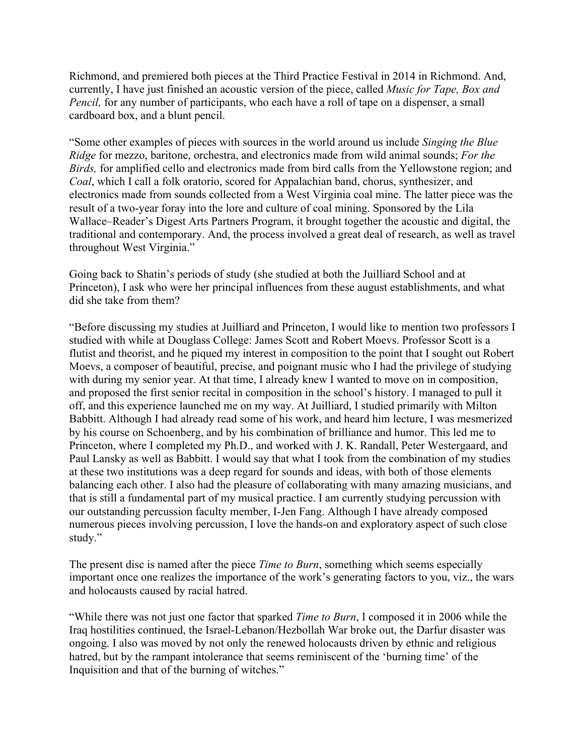Richmond, and premiered both pieces at the Third Practice Festival in 2014 in Richmond. And, currently, I have just finished an acoustic version of the piece, called *Music for Tape, Box and Pencil*, for any number of participants, who each have a roll of tape on a dispenser, a small cardboard box, and a blunt pencil.

"Some other examples of pieces with sources in the world around us include *Singing the Blue Ridge* for mezzo, baritone, orchestra, and electronics made from wild animal sounds; *For the Birds,* for amplified cello and electronics made from bird calls from the Yellowstone region; and *Coal*, which I call a folk oratorio, scored for Appalachian band, chorus, synthesizer, and electronics made from sounds collected from a West Virginia coal mine. The latter piece was the result of a two-year foray into the lore and culture of coal mining. Sponsored by the Lila Wallace–Reader's Digest Arts Partners Program, it brought together the acoustic and digital, the traditional and contemporary. And, the process involved a great deal of research, as well as travel throughout West Virginia."

Going back to Shatin's periods of study (she studied at both the Juilliard School and at Princeton), I ask who were her principal influences from these august establishments, and what did she take from them?

"Before discussing my studies at Juilliard and Princeton, I would like to mention two professors I studied with while at Douglass College: James Scott and Robert Moevs. Professor Scott is a flutist and theorist, and he piqued my interest in composition to the point that I sought out Robert Moevs, a composer of beautiful, precise, and poignant music who I had the privilege of studying with during my senior year. At that time, I already knew I wanted to move on in composition, and proposed the first senior recital in composition in the school's history. I managed to pull it off, and this experience launched me on my way. At Juilliard, I studied primarily with Milton Babbitt. Although I had already read some of his work, and heard him lecture, I was mesmerized by his course on Schoenberg, and by his combination of brilliance and humor. This led me to Princeton, where I completed my Ph.D., and worked with J. K. Randall, Peter Westergaard, and Paul Lansky as well as Babbitt. I would say that what I took from the combination of my studies at these two institutions was a deep regard for sounds and ideas, with both of those elements balancing each other. I also had the pleasure of collaborating with many amazing musicians, and that is still a fundamental part of my musical practice. I am currently studying percussion with our outstanding percussion faculty member, I-Jen Fang. Although I have already composed numerous pieces involving percussion, I love the hands-on and exploratory aspect of such close study."

The present disc is named after the piece *Time to Burn*, something which seems especially important once one realizes the importance of the work's generating factors to you, viz., the wars and holocausts caused by racial hatred.

"While there was not just one factor that sparked *Time to Burn*, I composed it in 2006 while the Iraq hostilities continued, the Israel-Lebanon/Hezbollah War broke out, the Darfur disaster was ongoing. I also was moved by not only the renewed holocausts driven by ethnic and religious hatred, but by the rampant intolerance that seems reminiscent of the 'burning time' of the Inquisition and that of the burning of witches."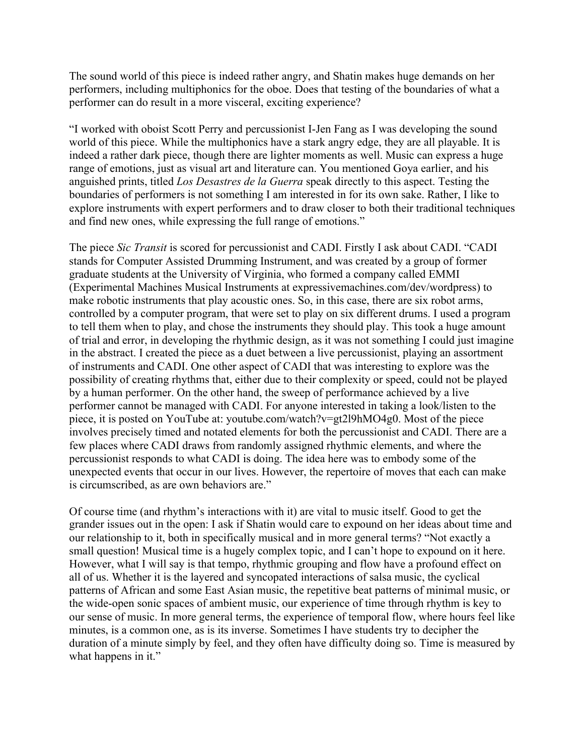The sound world of this piece is indeed rather angry, and Shatin makes huge demands on her performers, including multiphonics for the oboe. Does that testing of the boundaries of what a performer can do result in a more visceral, exciting experience?

"I worked with oboist Scott Perry and percussionist I-Jen Fang as I was developing the sound world of this piece. While the multiphonics have a stark angry edge, they are all playable. It is indeed a rather dark piece, though there are lighter moments as well. Music can express a huge range of emotions, just as visual art and literature can. You mentioned Goya earlier, and his anguished prints, titled *Los Desastres de la Guerra* speak directly to this aspect. Testing the boundaries of performers is not something I am interested in for its own sake. Rather, I like to explore instruments with expert performers and to draw closer to both their traditional techniques and find new ones, while expressing the full range of emotions."

The piece *Sic Transit* is scored for percussionist and CADI. Firstly I ask about CADI. "CADI stands for Computer Assisted Drumming Instrument, and was created by a group of former graduate students at the University of Virginia, who formed a company called EMMI (Experimental Machines Musical Instruments at expressivemachines.com/dev/wordpress) to make robotic instruments that play acoustic ones. So, in this case, there are six robot arms, controlled by a computer program, that were set to play on six different drums. I used a program to tell them when to play, and chose the instruments they should play. This took a huge amount of trial and error, in developing the rhythmic design, as it was not something I could just imagine in the abstract. I created the piece as a duet between a live percussionist, playing an assortment of instruments and CADI. One other aspect of CADI that was interesting to explore was the possibility of creating rhythms that, either due to their complexity or speed, could not be played by a human performer. On the other hand, the sweep of performance achieved by a live performer cannot be managed with CADI. For anyone interested in taking a look/listen to the piece, it is posted on YouTube at: youtube.com/watch?v=gt2l9hMO4g0. Most of the piece involves precisely timed and notated elements for both the percussionist and CADI. There are a few places where CADI draws from randomly assigned rhythmic elements, and where the percussionist responds to what CADI is doing. The idea here was to embody some of the unexpected events that occur in our lives. However, the repertoire of moves that each can make is circumscribed, as are own behaviors are."

Of course time (and rhythm's interactions with it) are vital to music itself. Good to get the grander issues out in the open: I ask if Shatin would care to expound on her ideas about time and our relationship to it, both in specifically musical and in more general terms? "Not exactly a small question! Musical time is a hugely complex topic, and I can't hope to expound on it here. However, what I will say is that tempo, rhythmic grouping and flow have a profound effect on all of us. Whether it is the layered and syncopated interactions of salsa music, the cyclical patterns of African and some East Asian music, the repetitive beat patterns of minimal music, or the wide-open sonic spaces of ambient music, our experience of time through rhythm is key to our sense of music. In more general terms, the experience of temporal flow, where hours feel like minutes, is a common one, as is its inverse. Sometimes I have students try to decipher the duration of a minute simply by feel, and they often have difficulty doing so. Time is measured by what happens in it."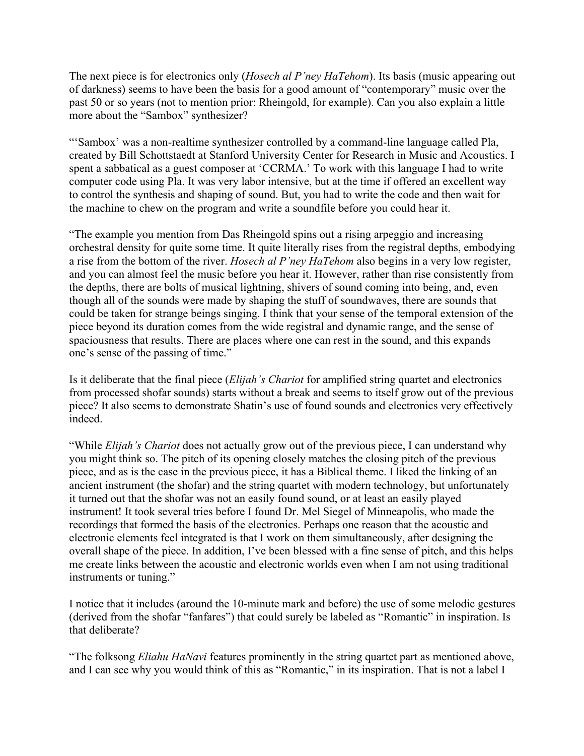The next piece is for electronics only (*Hosech al P'ney HaTehom*). Its basis (music appearing out of darkness) seems to have been the basis for a good amount of "contemporary" music over the past 50 or so years (not to mention prior: Rheingold, for example). Can you also explain a little more about the "Sambox" synthesizer?

"'Sambox' was a non-realtime synthesizer controlled by a command-line language called Pla, created by Bill Schottstaedt at Stanford University Center for Research in Music and Acoustics. I spent a sabbatical as a guest composer at 'CCRMA.' To work with this language I had to write computer code using Pla. It was very labor intensive, but at the time if offered an excellent way to control the synthesis and shaping of sound. But, you had to write the code and then wait for the machine to chew on the program and write a soundfile before you could hear it.

"The example you mention from Das Rheingold spins out a rising arpeggio and increasing orchestral density for quite some time. It quite literally rises from the registral depths, embodying a rise from the bottom of the river. *Hosech al P'ney HaTehom* also begins in a very low register, and you can almost feel the music before you hear it. However, rather than rise consistently from the depths, there are bolts of musical lightning, shivers of sound coming into being, and, even though all of the sounds were made by shaping the stuff of soundwaves, there are sounds that could be taken for strange beings singing. I think that your sense of the temporal extension of the piece beyond its duration comes from the wide registral and dynamic range, and the sense of spaciousness that results. There are places where one can rest in the sound, and this expands one's sense of the passing of time."

Is it deliberate that the final piece (*Elijah's Chariot* for amplified string quartet and electronics from processed shofar sounds) starts without a break and seems to itself grow out of the previous piece? It also seems to demonstrate Shatin's use of found sounds and electronics very effectively indeed.

"While *Elijah's Chariot* does not actually grow out of the previous piece, I can understand why you might think so. The pitch of its opening closely matches the closing pitch of the previous piece, and as is the case in the previous piece, it has a Biblical theme. I liked the linking of an ancient instrument (the shofar) and the string quartet with modern technology, but unfortunately it turned out that the shofar was not an easily found sound, or at least an easily played instrument! It took several tries before I found Dr. Mel Siegel of Minneapolis, who made the recordings that formed the basis of the electronics. Perhaps one reason that the acoustic and electronic elements feel integrated is that I work on them simultaneously, after designing the overall shape of the piece. In addition, I've been blessed with a fine sense of pitch, and this helps me create links between the acoustic and electronic worlds even when I am not using traditional instruments or tuning."

I notice that it includes (around the 10-minute mark and before) the use of some melodic gestures (derived from the shofar "fanfares") that could surely be labeled as "Romantic" in inspiration. Is that deliberate?

"The folksong *Eliahu HaNavi* features prominently in the string quartet part as mentioned above, and I can see why you would think of this as "Romantic," in its inspiration. That is not a label I